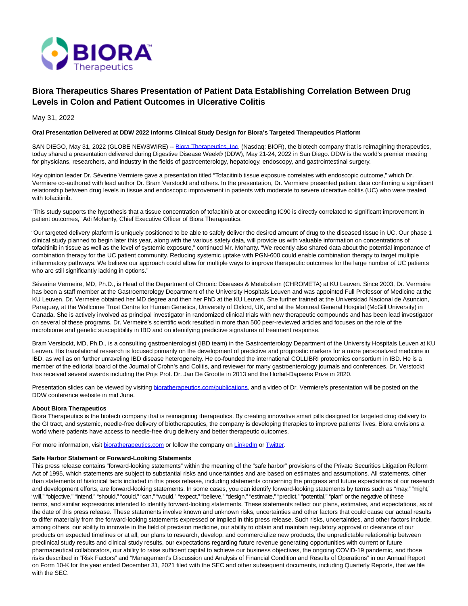

## **Biora Therapeutics Shares Presentation of Patient Data Establishing Correlation Between Drug Levels in Colon and Patient Outcomes in Ulcerative Colitis**

May 31, 2022

## **Oral Presentation Delivered at DDW 2022 Informs Clinical Study Design for Biora's Targeted Therapeutics Platform**

SAN DIEGO, May 31, 2022 (GLOBE NEWSWIRE) -- [Biora Therapeutics, Inc.](https://www.globenewswire.com/Tracker?data=PNmwi-B3I4eFKhxZvJ5bX0jnwuCGz4vQJaQHR5acJooIKdlTLADtlqMGH1OL76JsrCu8pQRtNmiHW2DqAdbfKMd7h9akLjx_e2AeA4EqvQ0=) (Nasdaq: BIOR), the biotech company that is reimagining therapeutics, today shared a presentation delivered during Digestive Disease Week® (DDW), May 21-24, 2022 in San Diego. DDW is the world's premier meeting for physicians, researchers, and industry in the fields of gastroenterology, hepatology, endoscopy, and gastrointestinal surgery.

Key opinion leader Dr. Séverine Vermiere gave a presentation titled "Tofacitinib tissue exposure correlates with endoscopic outcome," which Dr. Vermiere co-authored with lead author Dr. Bram Verstockt and others. In the presentation, Dr. Vermiere presented patient data confirming a significant relationship between drug levels in tissue and endoscopic improvement in patients with moderate to severe ulcerative colitis (UC) who were treated with tofacitinib.

"This study supports the hypothesis that a tissue concentration of tofacitinib at or exceeding IC90 is directly correlated to significant improvement in patient outcomes," Adi Mohanty, Chief Executive Officer of Biora Therapeutics.

"Our targeted delivery platform is uniquely positioned to be able to safely deliver the desired amount of drug to the diseased tissue in UC. Our phase 1 clinical study planned to begin later this year, along with the various safety data, will provide us with valuable information on concentrations of tofacitinib in tissue as well as the level of systemic exposure," continued Mr. Mohanty. "We recently also shared data about the potential importance of combination therapy for the UC patient community. Reducing systemic uptake with PGN-600 could enable combination therapy to target multiple inflammatory pathways. We believe our approach could allow for multiple ways to improve therapeutic outcomes for the large number of UC patients who are still significantly lacking in options."

Séverine Vermeire, MD, Ph.D., is Head of the Department of Chronic Diseases & Metabolism (CHROMETA) at KU Leuven. Since 2003, Dr. Vermeire has been a staff member at the Gastroenterology Department of the University Hospitals Leuven and was appointed Full Professor of Medicine at the KU Leuven. Dr. Vermeire obtained her MD degree and then her PhD at the KU Leuven. She further trained at the Universidad Nacional de Asuncion, Paraguay, at the Wellcome Trust Centre for Human Genetics, University of Oxford, UK, and at the Montreal General Hospital (McGill University) in Canada. She is actively involved as principal investigator in randomized clinical trials with new therapeutic compounds and has been lead investigator on several of these programs. Dr. Vermeire's scientific work resulted in more than 500 peer-reviewed articles and focuses on the role of the microbiome and genetic susceptibility in IBD and on identifying predictive signatures of treatment response.

Bram Verstockt, MD, Ph.D., is a consulting gastroenterologist (IBD team) in the Gastroenterology Department of the University Hospitals Leuven at KU Leuven. His translational research is focused primarily on the development of predictive and prognostic markers for a more personalized medicine in IBD, as well as on further unraveling IBD disease heterogeneity. He co-founded the international COLLIBRI proteomics consortium in IBD. He is a member of the editorial board of the Journal of Crohn's and Colitis, and reviewer for many gastroenterology journals and conferences. Dr. Verstockt has received several awards including the Prijs Prof. Dr. Jan De Grootte in 2013 and the Horlait-Dapsens Prize in 2020.

Presentation slides can be viewed by visiting [bioratherapeutics.com/publications,](https://www.globenewswire.com/Tracker?data=6KBiweLwTfPmXTiV0bllmqjS08Z3F2pG-RKn784xi1xavHEy8ouwc1c7U9sT4ToMFzGroF4qT2OP4imFimCtETmp68sdcF-fKzIr34kJDjocO2T3N5FlRNeDoLPdPEnXaBIYhMCvJvGChhz1uegftg==) and a video of Dr. Vermiere's presentation will be posted on the DDW conference website in mid June.

## **About Biora Therapeutics**

Biora Therapeutics is the biotech company that is reimagining therapeutics. By creating innovative smart pills designed for targeted drug delivery to the GI tract, and systemic, needle-free delivery of biotherapeutics, the company is developing therapies to improve patients' lives. Biora envisions a world where patients have access to needle-free drug delivery and better therapeutic outcomes.

For more information, visit [bioratherapeutics.com o](https://www.globenewswire.com/Tracker?data=6KBiweLwTfPmXTiV0bllmv3PBr6vJ0Alp8q4Mu1OTh0aKLXI6ZbvySuSusa5fOacLbHCwdBQvWSq-MOq1jBiEL6xLoU8tVlsgFYSBJaa7Ao=)r follow the company on [LinkedIn o](https://www.globenewswire.com/Tracker?data=7hEhttOw-diYfAVn_eDEPQJaL5Z2T59UAjfIvHRJOswumQJ62mlxxeVvBjckUX9AqeY5HaMhkBo5EW80wgzKBOs0LYpKxk2naMfQNnk86PnusAwNS-OpUysCxyQjMD3b)r [Twitter.](https://www.globenewswire.com/Tracker?data=3P35FvYsNNb_tf5-PEIE_aY71ioowvNC-hKW85Dzec_f5vgSsrFVlbGWiHH689znMboXQQnb2cY8t7Pc4Hy42g==)

## **Safe Harbor Statement or Forward-Looking Statements**

This press release contains "forward-looking statements" within the meaning of the "safe harbor" provisions of the Private Securities Litigation Reform Act of 1995, which statements are subject to substantial risks and uncertainties and are based on estimates and assumptions. All statements, other than statements of historical facts included in this press release, including statements concerning the progress and future expectations of our research and development efforts, are forward-looking statements. In some cases, you can identify forward-looking statements by terms such as "may," "might," "will," "objective," "intend," "should," "could," "can," "would," "expect," "believe," "design," "estimate," "predict," "potential," "plan" or the negative of these terms, and similar expressions intended to identify forward-looking statements. These statements reflect our plans, estimates, and expectations, as of the date of this press release. These statements involve known and unknown risks, uncertainties and other factors that could cause our actual results to differ materially from the forward-looking statements expressed or implied in this press release. Such risks, uncertainties, and other factors include, among others, our ability to innovate in the field of precision medicine, our ability to obtain and maintain regulatory approval or clearance of our products on expected timelines or at all, our plans to research, develop, and commercialize new products, the unpredictable relationship between preclinical study results and clinical study results, our expectations regarding future revenue generating opportunities with current or future pharmaceutical collaborators, our ability to raise sufficient capital to achieve our business objectives, the ongoing COVID-19 pandemic, and those risks described in "Risk Factors" and "Management's Discussion and Analysis of Financial Condition and Results of Operations" in our Annual Report on Form 10-K for the year ended December 31, 2021 filed with the SEC and other subsequent documents, including Quarterly Reports, that we file with the SEC.